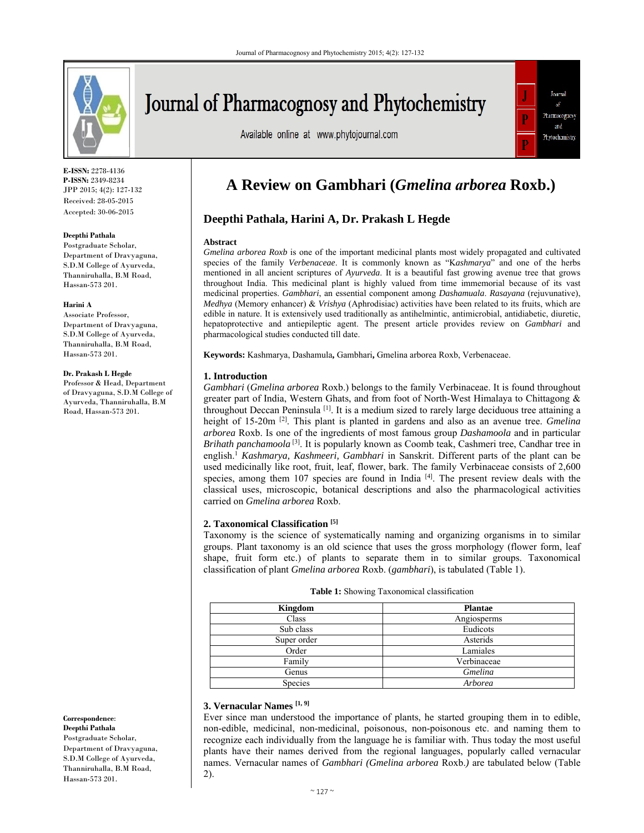

Journal of Pharmacognosy and Phytochemistry

Available online at www.phytojournal.com



**E-ISSN:** 2278-4136 **P-ISSN:** 2349-8234 JPP 2015; 4(2): 127-132 Received: 28-05-2015 Accepted: 30-06-2015

#### **Deepthi Pathala**

Postgraduate Scholar, Department of Dravyaguna, S.D.M College of Ayurveda, Thanniruhalla, B.M Road, Hassan-573 201.

#### **Harini A**

Associate Professor, Department of Dravyaguna, S.D.M College of Ayurveda, Thanniruhalla, B.M Road, Hassan-573 201.

### **Dr. Prakash L Hegde**

Professor & Head, Department of Dravyaguna, S.D.M College of Ayurveda, Thanniruhalla, B.M Road, Hassan-573 201.

**Correspondence**: **Deepthi Pathala**  Postgraduate Scholar, Department of Dravyaguna, S.D.M College of Ayurveda, Thanniruhalla, B.M Road, Hassan-573 201.

# **A Review on Gambhari (***Gmelina arborea* **Roxb.)**

# **Deepthi Pathala, Harini A, Dr. Prakash L Hegde**

#### **Abstract**

*Gmelina arborea Roxb* is one of the important medicinal plants most widely propagated and cultivated species of the family *Verbenaceae*. It is commonly known as "K*ashmarya*" and one of the herbs mentioned in all ancient scriptures of *Ayurveda*. It is a beautiful fast growing avenue tree that grows throughout India. This medicinal plant is highly valued from time immemorial because of its vast medicinal properties. *Gambhari*, an essential component among *Dashamuala*. *Rasayana* (rejuvunative), *Medhya* (Memory enhancer) & *Vrishya* (Aphrodisiac) activities have been related to its fruits, which are edible in nature. It is extensively used traditionally as antihelmintic, antimicrobial, antidiabetic, diuretic, hepatoprotective and antiepileptic agent. The present article provides review on *Gambhari* and pharmacological studies conducted till date.

**Keywords:** Kashmarya, Dashamula**,** Gambhari**,** Gmelina arborea Roxb, Verbenaceae.

### **1. Introduction**

*Gambhari* (*Gmelina arborea* Roxb.) belongs to the family Verbinaceae. It is found throughout greater part of India, Western Ghats, and from foot of North-West Himalaya to Chittagong & throughout Deccan Peninsula [1]. It is a medium sized to rarely large deciduous tree attaining a height of 15-20m [2]. This plant is planted in gardens and also as an avenue tree. *Gmelina arborea* Roxb. Is one of the ingredients of most famous group *Dashamoola* and in particular *Brihath panchamoola* <sup>[3]</sup>. It is popularly known as Coomb teak, Cashmeri tree, Candhar tree in english.1 *Kashmarya, Kashmeeri, Gambhari* in Sanskrit. Different parts of the plant can be used medicinally like root, fruit, leaf, flower, bark. The family Verbinaceae consists of 2,600 species, among them 107 species are found in India [4]. The present review deals with the classical uses, microscopic, botanical descriptions and also the pharmacological activities carried on *Gmelina arborea* Roxb.

### **2. Taxonomical Classification [5]**

Taxonomy is the science of systematically naming and organizing organisms in to similar groups. Plant taxonomy is an old science that uses the gross morphology (flower form, leaf shape, fruit form etc.) of plants to separate them in to similar groups. Taxonomical classification of plant *Gmelina arborea* Roxb. (*gambhari*), is tabulated (Table 1).

| Kingdom     | Plantae     |
|-------------|-------------|
| Class       | Angiosperms |
| Sub class   | Eudicots    |
| Super order | Asterids    |
| Order       | Lamiales    |
| Family      | Verbinaceae |
| Genus       | Gmelina     |
| Species     | Arborea     |

### **Table 1:** Showing Taxonomical classification

### **3. Vernacular Names [1, 9]**

Ever since man understood the importance of plants, he started grouping them in to edible, non-edible, medicinal, non-medicinal, poisonous, non-poisonous etc. and naming them to recognize each individually from the language he is familiar with. Thus today the most useful plants have their names derived from the regional languages, popularly called vernacular names. Vernacular names of *Gambhari (Gmelina arborea* Roxb.*)* are tabulated below (Table 2).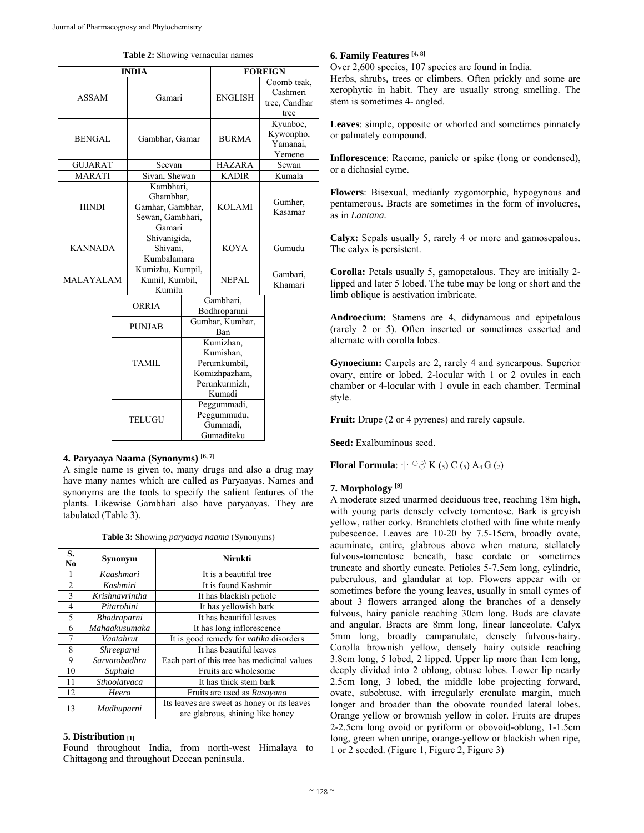|  |  | <b>Table 2:</b> Showing vernacular names |  |
|--|--|------------------------------------------|--|
|--|--|------------------------------------------|--|

| <b>INDIA</b>     |                |                                              |                                                                                    | <b>FOREIGN</b>                                       |                                                  |  |  |
|------------------|----------------|----------------------------------------------|------------------------------------------------------------------------------------|------------------------------------------------------|--------------------------------------------------|--|--|
| <b>ASSAM</b>     |                | Gamari                                       |                                                                                    | <b>ENGLISH</b>                                       | Coomb teak,<br>Cashmeri<br>tree, Candhar<br>tree |  |  |
| <b>BENGAL</b>    | Gambhar, Gamar |                                              | <b>BURMA</b>                                                                       |                                                      | Kyunboc,<br>Kywonpho,<br>Yamanai,<br>Yemene      |  |  |
| <b>GUJARAT</b>   |                | Seevan                                       |                                                                                    | <b>HAZARA</b>                                        | Sewan                                            |  |  |
| <b>MARATI</b>    |                | Sivan, Shewan                                |                                                                                    | <b>KADIR</b>                                         | Kumala                                           |  |  |
| <b>HINDI</b>     |                |                                              | Kambhari,<br>Ghambhar,<br>Gamhar, Gambhar,<br>Sewan, Gambhari,<br>Gamari           |                                                      | Gumher,<br>Kasamar                               |  |  |
| <b>KANNADA</b>   |                | Shivanigida,<br>Shivani,<br>Kumbalamara      |                                                                                    | <b>KOYA</b>                                          | Gumudu                                           |  |  |
| <b>MALAYALAM</b> |                | Kumizhu, Kumpil,<br>Kumil, Kumbil,<br>Kumilu |                                                                                    | <b>NEPAL</b>                                         | Gambari,<br>Khamari                              |  |  |
|                  |                | <b>ORRIA</b>                                 |                                                                                    | Gambhari,<br>Bodhroparnni                            |                                                  |  |  |
|                  |                | <b>PUNJAB</b>                                |                                                                                    | Gumhar, Kumhar,<br>Ban                               |                                                  |  |  |
|                  |                | TAMIL                                        | Kumizhan,<br>Kumishan,<br>Perumkumbil,<br>Komizhpazham,<br>Perunkurmizh,<br>Kumadi |                                                      |                                                  |  |  |
|                  |                | <b>TELUGU</b>                                |                                                                                    | Peggummadi,<br>Peggummudu,<br>Gummadi,<br>Gumaditeku |                                                  |  |  |

# **4. Paryaaya Naama (Synonyms) [6, 7]**

A single name is given to, many drugs and also a drug may have many names which are called as Paryaayas. Names and synonyms are the tools to specify the salient features of the plants. Likewise Gambhari also have paryaayas. They are tabulated (Table 3).

|  | Table 3: Showing paryaaya naama (Synonyms) |  |
|--|--------------------------------------------|--|
|--|--------------------------------------------|--|

| S.<br>No       | Synonym                                    | <b>Nirukti</b>                                                                  |  |
|----------------|--------------------------------------------|---------------------------------------------------------------------------------|--|
|                | Kaashmari                                  | It is a beautiful tree                                                          |  |
| $\overline{c}$ | It is found Kashmir<br>Kashmiri            |                                                                                 |  |
| 3              | Krishnavrintha                             | It has blackish petiole.                                                        |  |
| $\overline{4}$ | Pitarohini                                 | It has yellowish bark                                                           |  |
| 5              | It has beautiful leaves<br>Bhadraparni     |                                                                                 |  |
| 6              | Mahaakusumaka<br>It has long inflorescence |                                                                                 |  |
| 7              | Vaatahrut                                  | It is good remedy for vatika disorders                                          |  |
| 8              | Shreeparni                                 | It has beautiful leaves                                                         |  |
| 9              | Sarvatobadhra                              | Each part of this tree has medicinal values                                     |  |
| 10             | Suphala                                    | Fruits are wholesome                                                            |  |
| 11             | Sthoolatvaca                               | It has thick stem bark                                                          |  |
| 12             | Heera                                      | Fruits are used as Rasayana                                                     |  |
| 13             | Madhuparni                                 | Its leaves are sweet as honey or its leaves<br>are glabrous, shining like honey |  |

# **5. Distribution [1]**

Found throughout India, from north-west Himalaya to Chittagong and throughout Deccan peninsula.

### **6. Family Features [4, 8]**

Over 2,600 species, 107 species are found in India.

Herbs, shrubs**,** trees or climbers. Often prickly and some are xerophytic in habit. They are usually strong smelling. The stem is sometimes 4- angled.

**Leaves**: simple, opposite or whorled and sometimes pinnately or palmately compound.

**Inflorescence**: Raceme, panicle or spike (long or condensed), or a dichasial cyme.

**Flowers**: Bisexual, medianly zygomorphic, hypogynous and pentamerous. Bracts are sometimes in the form of involucres, as in *Lantana.* 

**Calyx:** Sepals usually 5, rarely 4 or more and gamosepalous. The calyx is persistent.

**Corolla:** Petals usually 5, gamopetalous. They are initially 2 lipped and later 5 lobed. The tube may be long or short and the limb oblique is aestivation imbricate.

**Androecium:** Stamens are 4, didynamous and epipetalous (rarely 2 or 5). Often inserted or sometimes exserted and alternate with corolla lobes.

**Gynoecium:** Carpels are 2, rarely 4 and syncarpous. Superior ovary, entire or lobed, 2-locular with 1 or 2 ovules in each chamber or 4-locular with 1 ovule in each chamber. Terminal style.

**Fruit:** Drupe (2 or 4 pyrenes) and rarely capsule.

**Seed:** Exalbuminous seed.

**Floral Formula**:  $\cdot \mid \cdot \nsubseteq \mathcal{S}$  K (5) C (5) A<sub>4</sub> G (2)

### **7. Morphology [9]**

A moderate sized unarmed deciduous tree, reaching 18m high, with young parts densely velvety tomentose. Bark is greyish yellow, rather corky. Branchlets clothed with fine white mealy pubescence. Leaves are 10-20 by 7.5-15cm, broadly ovate, acuminate, entire, glabrous above when mature, stellately fulvous-tomentose beneath, base cordate or sometimes truncate and shortly cuneate. Petioles 5-7.5cm long, cylindric, puberulous, and glandular at top. Flowers appear with or sometimes before the young leaves, usually in small cymes of about 3 flowers arranged along the branches of a densely fulvous, hairy panicle reaching 30cm long. Buds are clavate and angular. Bracts are 8mm long, linear lanceolate. Calyx 5mm long, broadly campanulate, densely fulvous-hairy. Corolla brownish yellow, densely hairy outside reaching 3.8cm long, 5 lobed, 2 lipped. Upper lip more than 1cm long, deeply divided into 2 oblong, obtuse lobes. Lower lip nearly 2.5cm long, 3 lobed, the middle lobe projecting forward, ovate, subobtuse, with irregularly crenulate margin, much longer and broader than the obovate rounded lateral lobes. Orange yellow or brownish yellow in color. Fruits are drupes 2-2.5cm long ovoid or pyriform or obovoid-oblong, 1-1.5cm long, green when unripe, orange-yellow or blackish when ripe, 1 or 2 seeded. (Figure 1, Figure 2, Figure 3)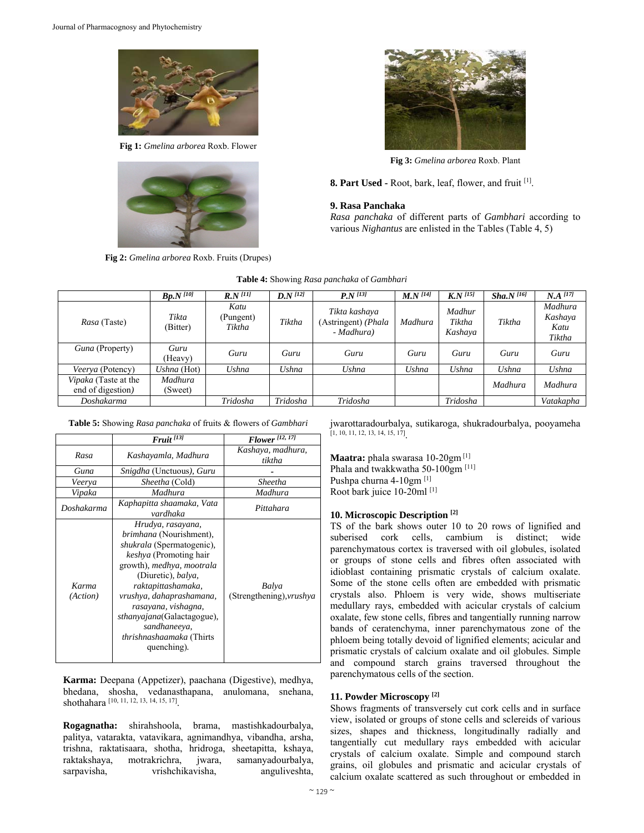

**Fig 1:** *Gmelina arborea* Roxb. Flower



**Fig 2:** *Gmelina arborea* Roxb. Fruits (Drupes)



**Fig 3:** *Gmelina arborea* Roxb. Plant

**8. Part Used -** Root, bark, leaf, flower, and fruit [1].

### **9. Rasa Panchaka**

*Rasa panchaka* of different parts of *Gambhari* according to various *Nighantus* are enlisted in the Tables (Table 4, 5)

|                                           | $Bp.N$ <sup>[10]</sup> | $R N^{[11]}$                | $D N^{[12]}$ | $P_{.}N^{[13]}$                                    | $M.N^{[14]}$ | $K N^{[15]}$                | Sha.N <sup>[16]</sup> | $N.A$ <sup>[17]</sup>                |
|-------------------------------------------|------------------------|-----------------------------|--------------|----------------------------------------------------|--------------|-----------------------------|-----------------------|--------------------------------------|
| Rasa (Taste)                              | Tikta<br>(Bitter)      | Katu<br>(Pungent)<br>Tiktha | Tiktha       | Tikta kashaya<br>(Astringent) (Phala<br>- Madhura) | Madhura      | Madhur<br>Tiktha<br>Kashaya | Tiktha                | Madhura<br>Kashaya<br>Katu<br>Tiktha |
| Guna (Property)                           | Guru<br>(Heavy)        | Guru                        | Guru         | Guru                                               | Guru         | Guru                        | Guru                  | Guru                                 |
| <i>Veerya</i> (Potency)                   | Ushna (Hot)            | Ushna                       | Ushna        | Ushna                                              | Ushna        | Ushna                       | Ushna                 | Ushna                                |
| Vipaka (Taste at the<br>end of digestion) | Madhura<br>(Sweet)     |                             |              |                                                    |              |                             | Madhura               | Madhura                              |
| Doshakarma                                |                        | Tridosha                    | Tridosha     | Tridosha                                           |              | Tridosha                    |                       | Vatakapha                            |

**Table 4:** Showing *Rasa panchaka* of *Gambhari*

**Table 5:** Showing *Rasa panchaka* of fruits & flowers of *Gambhari* 

|                   | $F$ ruit $^{[13]}$                                                                                                                                                                                                                                                                                                                                    | <b>Flower</b> [12, 17]                   |
|-------------------|-------------------------------------------------------------------------------------------------------------------------------------------------------------------------------------------------------------------------------------------------------------------------------------------------------------------------------------------------------|------------------------------------------|
| Rasa              | Kashayamla, Madhura                                                                                                                                                                                                                                                                                                                                   | Kashaya, madhura,<br>tiktha              |
| Guna              | <i>Snigdha</i> (Unctuous), <i>Guru</i>                                                                                                                                                                                                                                                                                                                |                                          |
| Veerya            | <i>Sheetha</i> (Cold)                                                                                                                                                                                                                                                                                                                                 | Sheetha                                  |
| Vipaka            | Madhura                                                                                                                                                                                                                                                                                                                                               | Madhura                                  |
| Doshakarma        | Kaphapitta shaamaka, Vata<br>vardhaka                                                                                                                                                                                                                                                                                                                 | Pittahara                                |
| Karma<br>(Action) | Hrudya, rasayana,<br><i>brimhana</i> (Nourishment),<br>shukrala (Spermatogenic),<br>keshya (Promoting hair<br>growth), <i>medhya</i> , <i>mootrala</i><br>(Diuretic), balya,<br>raktapittashamaka,<br>vrushya, dahaprashamana,<br>rasayana, vishagna,<br>sthanyajana(Galactagogue),<br>sandhaneeya,<br><i>thrishnashaamaka</i> (Thirts<br>quenching). | Balya<br>(Strengthening), <i>vrushya</i> |

**Karma:** Deepana (Appetizer), paachana (Digestive), medhya, bhedana, shosha, vedanasthapana, anulomana, snehana, shothahara [10, 11, 12, 13, 14, 15, 17]

**Rogagnatha:** shirahshoola, brama, mastishkadourbalya, palitya, vatarakta, vatavikara, agnimandhya, vibandha, arsha, trishna, raktatisaara, shotha, hridroga, sheetapitta, kshaya, raktakshaya, motrakrichra, jwara, samanyadourbalya, sarpavisha, vrishchikavisha, anguliveshta,

jwarottaradourbalya, sutikaroga, shukradourbalya, pooyameha [1, 10, 11, 12, 13, 14, 15, 17].

**Maatra:** phala swarasa 10-20gm [1] Phala and twakkwatha 50-100gm<sup>[11]</sup> Pushpa churna 4-10gm [1] Root bark juice 10-20ml [1]

# **10. Microscopic Description [2]**

TS of the bark shows outer 10 to 20 rows of lignified and suberised cork cells, cambium is distinct; wide parenchymatous cortex is traversed with oil globules, isolated or groups of stone cells and fibres often associated with idioblast containing prismatic crystals of calcium oxalate. Some of the stone cells often are embedded with prismatic crystals also. Phloem is very wide, shows multiseriate medullary rays, embedded with acicular crystals of calcium oxalate, few stone cells, fibres and tangentially running narrow bands of ceratenchyma, inner parenchymatous zone of the phloem being totally devoid of lignified elements; acicular and prismatic crystals of calcium oxalate and oil globules. Simple and compound starch grains traversed throughout the parenchymatous cells of the section.

# **11. Powder Microscopy [2]**

Shows fragments of transversely cut cork cells and in surface view, isolated or groups of stone cells and sclereids of various sizes, shapes and thickness, longitudinally radially and tangentially cut medullary rays embedded with acicular crystals of calcium oxalate. Simple and compound starch grains, oil globules and prismatic and acicular crystals of calcium oxalate scattered as such throughout or embedded in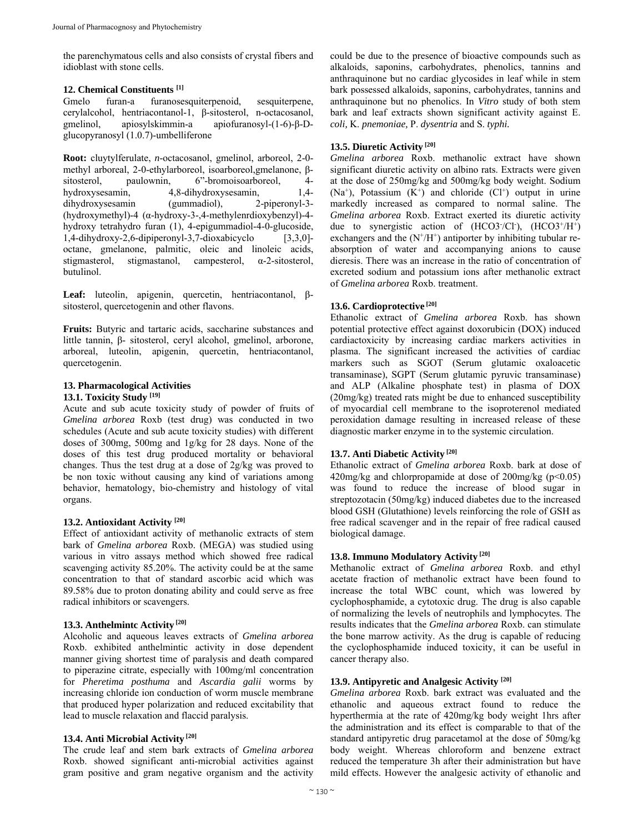the parenchymatous cells and also consists of crystal fibers and idioblast with stone cells.

### **12. Chemical Constituents [1]**

Gmelo furan-a furanosesquiterpenoid, sesquiterpene, cerylalcohol, hentriacontanol-1, β-sitosterol, n-octacosanol, gmelinol, apiosylskimmin-a apiofuranosyl-(1-6)-β-Dglucopyranosyl (1.0.7)-umbelliferone

**Root:** cluytylferulate, *n*-octacosanol, gmelinol, arboreol, 2-0 methyl arboreal, 2-0-ethylarboreol, isoarboreol,gmelanone, βsitosterol, paulownin, 6"-bromoisoarboreol, 4 hydroxysesamin, 4,8-dihydroxysesamin, 1,4 dihydroxysesamin (gummadiol), 2-piperonyl-3- (hydroxymethyl)-4 (α-hydroxy-3-,4-methylenrdioxybenzyl)-4 hydroxy tetrahydro furan (1), 4-epigummadiol-4-0-glucoside, 1,4-dihydroxy-2,6-dipiperonyl-3,7-dioxabicyclo [3,3,0] octane, gmelanone, palmitic, oleic and linoleic acids, stigmasterol, stigmastanol, campesterol, α-2-sitosterol, butulinol.

**Leaf:** luteolin, apigenin, quercetin, hentriacontanol, βsitosterol, quercetogenin and other flavons.

**Fruits:** Butyric and tartaric acids, saccharine substances and little tannin, β- sitosterol, ceryl alcohol, gmelinol, arborone, arboreal, luteolin, apigenin, quercetin, hentriacontanol, quercetogenin.

# **13. Pharmacological Activities**

### **13.1. Toxicity Study [19]**

Acute and sub acute toxicity study of powder of fruits of *Gmelina arborea* Roxb (test drug) was conducted in two schedules (Acute and sub acute toxicity studies) with different doses of 300mg, 500mg and 1g/kg for 28 days. None of the doses of this test drug produced mortality or behavioral changes. Thus the test drug at a dose of 2g/kg was proved to be non toxic without causing any kind of variations among behavior, hematology, bio-chemistry and histology of vital organs.

# **13.2. Antioxidant Activity [20]**

Effect of antioxidant activity of methanolic extracts of stem bark of *Gmelina arborea* Roxb. (MEGA) was studied using various in vitro assays method which showed free radical scavenging activity 85.20%. The activity could be at the same concentration to that of standard ascorbic acid which was 89.58% due to proton donating ability and could serve as free radical inhibitors or scavengers.

## **13.3. Anthelmintc Activity [20]**

Alcoholic and aqueous leaves extracts of *Gmelina arborea*  Roxb. exhibited anthelmintic activity in dose dependent manner giving shortest time of paralysis and death compared to piperazine citrate, especially with 100mg/ml concentration for *Pheretima posthuma* and *Ascardia galii* worms by increasing chloride ion conduction of worm muscle membrane that produced hyper polarization and reduced excitability that lead to muscle relaxation and flaccid paralysis.

### **13.4. Anti Microbial Activity [20]**

The crude leaf and stem bark extracts of *Gmelina arborea*  Roxb. showed significant anti-microbial activities against gram positive and gram negative organism and the activity

could be due to the presence of bioactive compounds such as alkaloids, saponins, carbohydrates, phenolics, tannins and anthraquinone but no cardiac glycosides in leaf while in stem bark possessed alkaloids, saponins, carbohydrates, tannins and anthraquinone but no phenolics. In *Vitro* study of both stem bark and leaf extracts shown significant activity against E. *coli,* K. *pnemoniae,* P. *dysentria* and S. *typhi.* 

# **13.5. Diuretic Activity [20]**

*Gmelina arborea* Roxb. methanolic extract have shown significant diuretic activity on albino rats. Extracts were given at the dose of 250mg/kg and 500mg/kg body weight. Sodium  $(Na^+)$ , Potassium  $(K^+)$  and chloride  $(Cl^+)$  output in urine markedly increased as compared to normal saline. The *Gmelina arborea* Roxb. Extract exerted its diuretic activity due to synergistic action of  $(HCO3/C1^2)$ ,  $(HCO3^+/H^+)$ exchangers and the  $(N^+/H^+)$  antiporter by inhibiting tubular reabsorption of water and accompanying anions to cause dieresis. There was an increase in the ratio of concentration of excreted sodium and potassium ions after methanolic extract of *Gmelina arborea* Roxb. treatment.

# **13.6. Cardioprotective [20]**

Ethanolic extract of *Gmelina arborea* Roxb. has shown potential protective effect against doxorubicin (DOX) induced cardiactoxicity by increasing cardiac markers activities in plasma. The significant increased the activities of cardiac markers such as SGOT (Serum glutamic oxaloacetic transaminase), SGPT (Serum glutamic pyruvic transaminase) and ALP (Alkaline phosphate test) in plasma of DOX (20mg/kg) treated rats might be due to enhanced susceptibility of myocardial cell membrane to the isoproterenol mediated peroxidation damage resulting in increased release of these diagnostic marker enzyme in to the systemic circulation.

# **13.7. Anti Diabetic Activity [20]**

Ethanolic extract of *Gmelina arborea* Roxb. bark at dose of 420mg/kg and chlorpropamide at dose of  $200$ mg/kg ( $p<0.05$ ) was found to reduce the increase of blood sugar in streptozotacin (50mg/kg) induced diabetes due to the increased blood GSH (Glutathione) levels reinforcing the role of GSH as free radical scavenger and in the repair of free radical caused biological damage.

# **13.8. Immuno Modulatory Activity [20]**

Methanolic extract of *Gmelina arborea* Roxb. and ethyl acetate fraction of methanolic extract have been found to increase the total WBC count, which was lowered by cyclophosphamide, a cytotoxic drug. The drug is also capable of normalizing the levels of neutrophils and lymphocytes. The results indicates that the *Gmelina arborea* Roxb. can stimulate the bone marrow activity. As the drug is capable of reducing the cyclophosphamide induced toxicity, it can be useful in cancer therapy also.

# **13.9. Antipyretic and Analgesic Activity [20]**

*Gmelina arborea* Roxb. bark extract was evaluated and the ethanolic and aqueous extract found to reduce the hyperthermia at the rate of 420mg/kg body weight 1hrs after the administration and its effect is comparable to that of the standard antipyretic drug paracetamol at the dose of 50mg/kg body weight. Whereas chloroform and benzene extract reduced the temperature 3h after their administration but have mild effects. However the analgesic activity of ethanolic and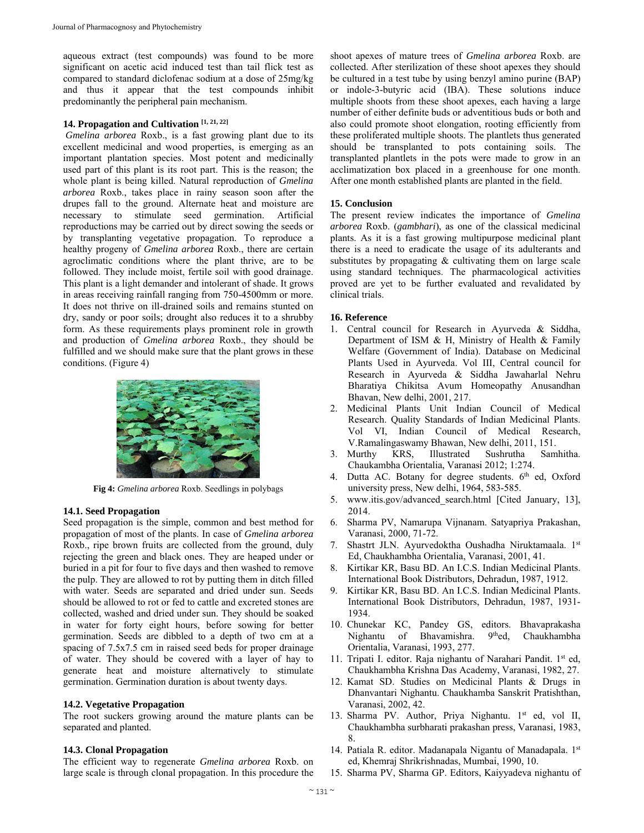aqueous extract (test compounds) was found to be more significant on acetic acid induced test than tail flick test as compared to standard diclofenac sodium at a dose of 25mg/kg and thus it appear that the test compounds inhibit predominantly the peripheral pain mechanism.

# **14. Propagation and Cultivation [1, 21, 22]**

*Gmelina arborea* Roxb., is a fast growing plant due to its excellent medicinal and wood properties, is emerging as an important plantation species. Most potent and medicinally used part of this plant is its root part. This is the reason; the whole plant is being killed. Natural reproduction of *Gmelina arborea* Roxb., takes place in rainy season soon after the drupes fall to the ground. Alternate heat and moisture are necessary to stimulate seed germination. Artificial reproductions may be carried out by direct sowing the seeds or by transplanting vegetative propagation. To reproduce a healthy progeny of *Gmelina arborea* Roxb., there are certain agroclimatic conditions where the plant thrive, are to be followed. They include moist, fertile soil with good drainage. This plant is a light demander and intolerant of shade. It grows in areas receiving rainfall ranging from 750-4500mm or more. It does not thrive on ill-drained soils and remains stunted on dry, sandy or poor soils; drought also reduces it to a shrubby form. As these requirements plays prominent role in growth and production of *Gmelina arborea* Roxb., they should be fulfilled and we should make sure that the plant grows in these conditions. (Figure 4)



**Fig 4:** *Gmelina arborea* Roxb. Seedlings in polybags

### **14.1. Seed Propagation**

Seed propagation is the simple, common and best method for propagation of most of the plants. In case of *Gmelina arborea*  Roxb., ripe brown fruits are collected from the ground, duly rejecting the green and black ones. They are heaped under or buried in a pit for four to five days and then washed to remove the pulp. They are allowed to rot by putting them in ditch filled with water. Seeds are separated and dried under sun. Seeds should be allowed to rot or fed to cattle and excreted stones are collected, washed and dried under sun. They should be soaked in water for forty eight hours, before sowing for better germination. Seeds are dibbled to a depth of two cm at a spacing of 7.5x7.5 cm in raised seed beds for proper drainage of water. They should be covered with a layer of hay to generate heat and moisture alternatively to stimulate germination. Germination duration is about twenty days.

### **14.2. Vegetative Propagation**

The root suckers growing around the mature plants can be separated and planted.

### **14.3. Clonal Propagation**

The efficient way to regenerate *Gmelina arborea* Roxb. on large scale is through clonal propagation. In this procedure the

shoot apexes of mature trees of *Gmelina arborea* Roxb. are collected. After sterilization of these shoot apexes they should be cultured in a test tube by using benzyl amino purine (BAP) or indole-3-butyric acid (IBA). These solutions induce multiple shoots from these shoot apexes, each having a large number of either definite buds or adventitious buds or both and also could promote shoot elongation, rooting efficiently from these proliferated multiple shoots. The plantlets thus generated should be transplanted to pots containing soils. The transplanted plantlets in the pots were made to grow in an acclimatization box placed in a greenhouse for one month. After one month established plants are planted in the field.

## **15. Conclusion**

The present review indicates the importance of *Gmelina arborea* Roxb. (*gambhari*), as one of the classical medicinal plants. As it is a fast growing multipurpose medicinal plant there is a need to eradicate the usage of its adulterants and substitutes by propagating  $&$  cultivating them on large scale using standard techniques. The pharmacological activities proved are yet to be further evaluated and revalidated by clinical trials.

### **16. Reference**

- 1. Central council for Research in Ayurveda & Siddha, Department of ISM & H, Ministry of Health & Family Welfare (Government of India). Database on Medicinal Plants Used in Ayurveda. Vol III, Central council for Research in Ayurveda & Siddha Jawaharlal Nehru Bharatiya Chikitsa Avum Homeopathy Anusandhan Bhavan, New delhi, 2001, 217.
- 2. Medicinal Plants Unit Indian Council of Medical Research. Quality Standards of Indian Medicinal Plants. Vol VI, Indian Council of Medical Research, V.Ramalingaswamy Bhawan, New delhi, 2011, 151.
- 3. Murthy KRS, Illustrated Sushrutha Samhitha. Chaukambha Orientalia, Varanasi 2012; 1:274.
- 4. Dutta AC. Botany for degree students.  $6<sup>th</sup>$  ed, Oxford university press, New delhi, 1964, 583-585.
- 5. www.itis.gov/advanced\_search.html [Cited January, 13], 2014.
- 6. Sharma PV, Namarupa Vijnanam. Satyapriya Prakashan, Varanasi, 2000, 71-72.
- 7. Shastrt JLN. Ayurvedoktha Oushadha Niruktamaala. 1st Ed, Chaukhambha Orientalia, Varanasi, 2001, 41.
- 8. Kirtikar KR, Basu BD. An I.C.S. Indian Medicinal Plants. International Book Distributors, Dehradun, 1987, 1912.
- 9. Kirtikar KR, Basu BD. An I.C.S. Indian Medicinal Plants. International Book Distributors, Dehradun, 1987, 1931- 1934.
- 10. Chunekar KC, Pandey GS, editors. Bhavaprakasha Nighantu of Bhavamishra. 9<sup>th</sup>ed, Chaukhambha Orientalia, Varanasi, 1993, 277.
- 11. Tripati I. editor. Raja nighantu of Narahari Pandit. 1st ed, Chaukhambha Krishna Das Academy, Varanasi, 1982, 27.
- 12. Kamat SD. Studies on Medicinal Plants & Drugs in Dhanvantari Nighantu. Chaukhamba Sanskrit Pratishthan, Varanasi, 2002, 42.
- 13. Sharma PV. Author, Priya Nighantu. 1st ed, vol II, Chaukhambha surbharati prakashan press, Varanasi, 1983, 8.
- 14. Patiala R. editor. Madanapala Nigantu of Manadapala. 1st ed, Khemraj Shrikrishnadas, Mumbai, 1990, 10.
- 15. Sharma PV, Sharma GP. Editors, Kaiyyadeva nighantu of